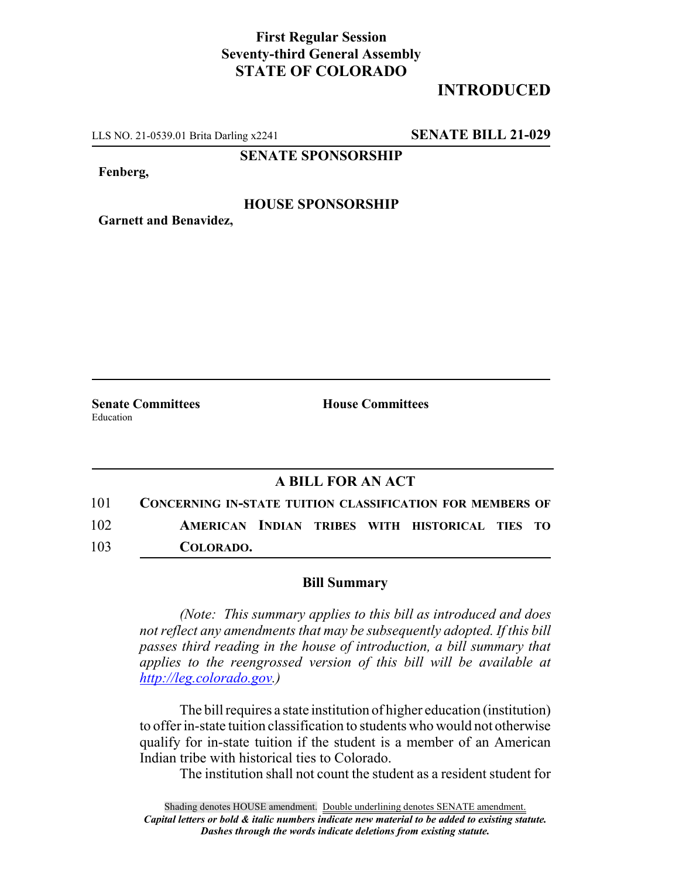## **First Regular Session Seventy-third General Assembly STATE OF COLORADO**

# **INTRODUCED**

LLS NO. 21-0539.01 Brita Darling x2241 **SENATE BILL 21-029**

**SENATE SPONSORSHIP**

**Fenberg,**

#### **HOUSE SPONSORSHIP**

**Garnett and Benavidez,**

Education

**Senate Committees House Committees** 

### **A BILL FOR AN ACT**

101 **CONCERNING IN-STATE TUITION CLASSIFICATION FOR MEMBERS OF** 102 **AMERICAN INDIAN TRIBES WITH HISTORICAL TIES TO** 103 **COLORADO.**

#### **Bill Summary**

*(Note: This summary applies to this bill as introduced and does not reflect any amendments that may be subsequently adopted. If this bill passes third reading in the house of introduction, a bill summary that applies to the reengrossed version of this bill will be available at http://leg.colorado.gov.)*

The bill requires a state institution of higher education (institution) to offer in-state tuition classification to students who would not otherwise qualify for in-state tuition if the student is a member of an American Indian tribe with historical ties to Colorado.

The institution shall not count the student as a resident student for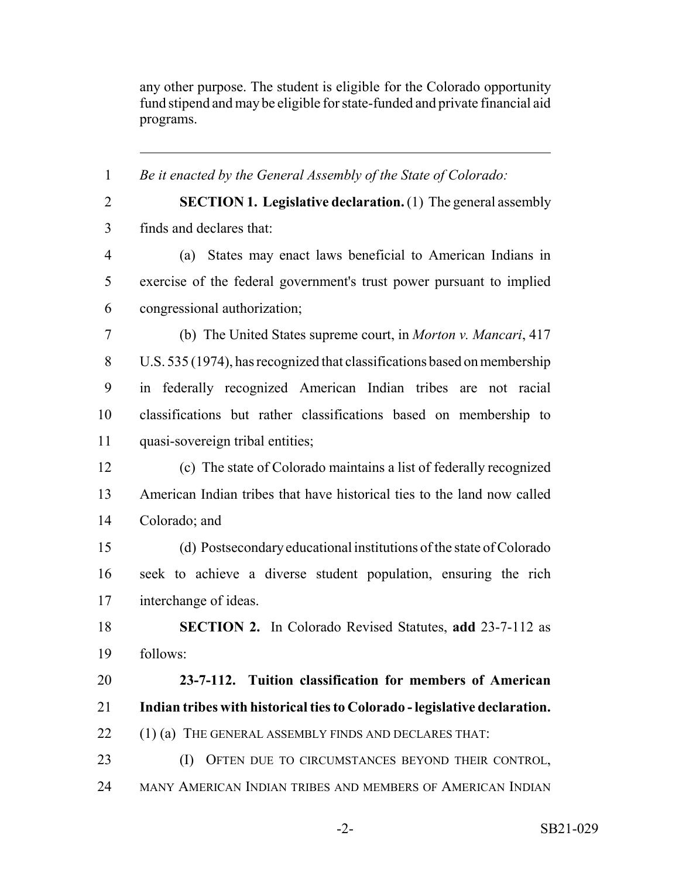any other purpose. The student is eligible for the Colorado opportunity fund stipend and may be eligible for state-funded and private financial aid programs.

 *Be it enacted by the General Assembly of the State of Colorado:* **SECTION 1. Legislative declaration.** (1) The general assembly finds and declares that: (a) States may enact laws beneficial to American Indians in exercise of the federal government's trust power pursuant to implied congressional authorization; (b) The United States supreme court, in *Morton v. Mancari*, 417 U.S. 535 (1974), has recognized that classifications based on membership in federally recognized American Indian tribes are not racial classifications but rather classifications based on membership to quasi-sovereign tribal entities; (c) The state of Colorado maintains a list of federally recognized American Indian tribes that have historical ties to the land now called Colorado; and (d) Postsecondary educational institutions of the state of Colorado seek to achieve a diverse student population, ensuring the rich interchange of ideas. **SECTION 2.** In Colorado Revised Statutes, **add** 23-7-112 as follows: **23-7-112. Tuition classification for members of American Indian tribes with historical ties to Colorado - legislative declaration.** 22 (1) (a) THE GENERAL ASSEMBLY FINDS AND DECLARES THAT: (I) OFTEN DUE TO CIRCUMSTANCES BEYOND THEIR CONTROL, MANY AMERICAN INDIAN TRIBES AND MEMBERS OF AMERICAN INDIAN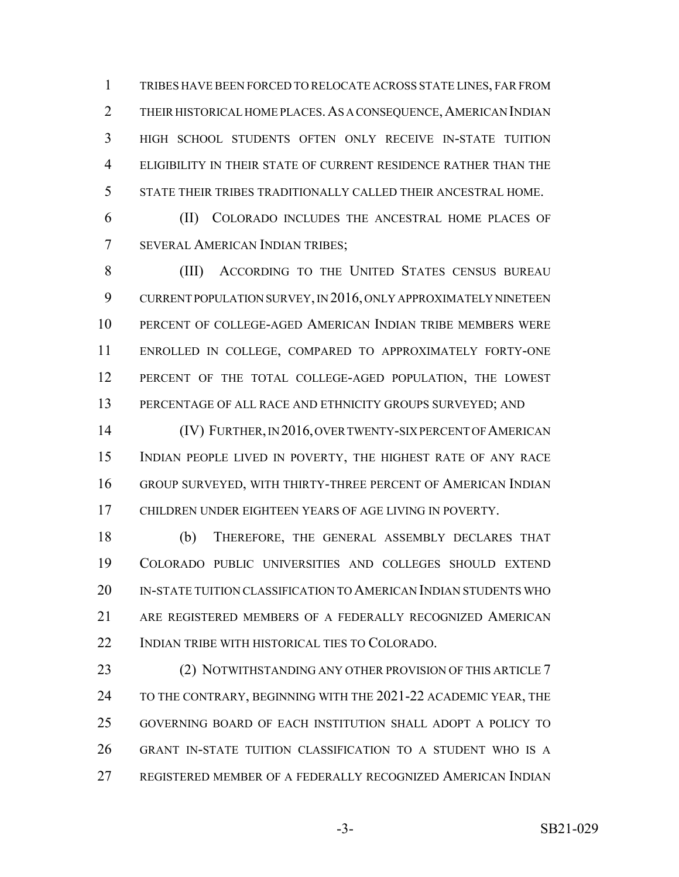TRIBES HAVE BEEN FORCED TO RELOCATE ACROSS STATE LINES, FAR FROM 2 THEIR HISTORICAL HOME PLACES. AS A CONSEQUENCE, AMERICAN INDIAN HIGH SCHOOL STUDENTS OFTEN ONLY RECEIVE IN-STATE TUITION ELIGIBILITY IN THEIR STATE OF CURRENT RESIDENCE RATHER THAN THE STATE THEIR TRIBES TRADITIONALLY CALLED THEIR ANCESTRAL HOME.

 (II) COLORADO INCLUDES THE ANCESTRAL HOME PLACES OF SEVERAL AMERICAN INDIAN TRIBES;

 (III) ACCORDING TO THE UNITED STATES CENSUS BUREAU CURRENT POPULATION SURVEY, IN 2016, ONLY APPROXIMATELY NINETEEN PERCENT OF COLLEGE-AGED AMERICAN INDIAN TRIBE MEMBERS WERE ENROLLED IN COLLEGE, COMPARED TO APPROXIMATELY FORTY-ONE PERCENT OF THE TOTAL COLLEGE-AGED POPULATION, THE LOWEST 13 PERCENTAGE OF ALL RACE AND ETHNICITY GROUPS SURVEYED; AND

 (IV) FURTHER, IN 2016, OVER TWENTY-SIX PERCENT OF AMERICAN INDIAN PEOPLE LIVED IN POVERTY, THE HIGHEST RATE OF ANY RACE GROUP SURVEYED, WITH THIRTY-THREE PERCENT OF AMERICAN INDIAN CHILDREN UNDER EIGHTEEN YEARS OF AGE LIVING IN POVERTY.

 (b) THEREFORE, THE GENERAL ASSEMBLY DECLARES THAT COLORADO PUBLIC UNIVERSITIES AND COLLEGES SHOULD EXTEND IN-STATE TUITION CLASSIFICATION TO AMERICAN INDIAN STUDENTS WHO ARE REGISTERED MEMBERS OF A FEDERALLY RECOGNIZED AMERICAN INDIAN TRIBE WITH HISTORICAL TIES TO COLORADO.

23 (2) NOTWITHSTANDING ANY OTHER PROVISION OF THIS ARTICLE 7 24 TO THE CONTRARY, BEGINNING WITH THE 2021-22 ACADEMIC YEAR, THE GOVERNING BOARD OF EACH INSTITUTION SHALL ADOPT A POLICY TO GRANT IN-STATE TUITION CLASSIFICATION TO A STUDENT WHO IS A REGISTERED MEMBER OF A FEDERALLY RECOGNIZED AMERICAN INDIAN